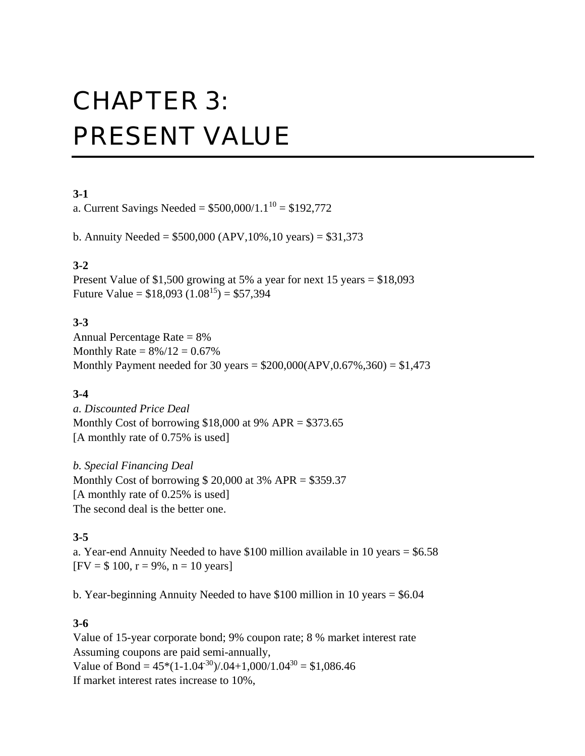# CHAPTER 3: PRESENT VALUE

## **3-1**

a. Current Savings Needed =  $$500,000/1.1^{10} = $192,772$ 

b. Annuity Needed =  $$500,000$  (APV, 10%, 10 years) =  $$31,373$ 

# **3-2**

Present Value of \$1,500 growing at 5% a year for next 15 years = \$18,093 Future Value =  $$18,093 (1.08^{15}) = $57,394$ 

## **3-3**

Annual Percentage Rate = 8% Monthly Rate =  $8\%/12 = 0.67\%$ Monthly Payment needed for 30 years =  $$200,000 (APV, 0.67%, 360) = $1,473$ 

# **3-4**

*a. Discounted Price Deal* Monthly Cost of borrowing  $$18,000$  at 9% APR =  $$373.65$ [A monthly rate of 0.75% is used]

*b. Special Financing Deal* Monthly Cost of borrowing  $$ 20,000$  at 3% APR = \$359.37 [A monthly rate of 0.25% is used] The second deal is the better one.

# **3-5**

a. Year-end Annuity Needed to have \$100 million available in 10 years = \$6.58  $[FW = $ 100, r = 9\%, n = 10 \text{ years}]$ 

b. Year-beginning Annuity Needed to have \$100 million in 10 years = \$6.04

## **3-6**

Value of 15-year corporate bond; 9% coupon rate; 8 % market interest rate Assuming coupons are paid semi-annually, Value of Bond =  $45*(1-1.04^{30})$ /.04+1,000/1.04<sup>30</sup> = \$1,086.46 If market interest rates increase to 10%,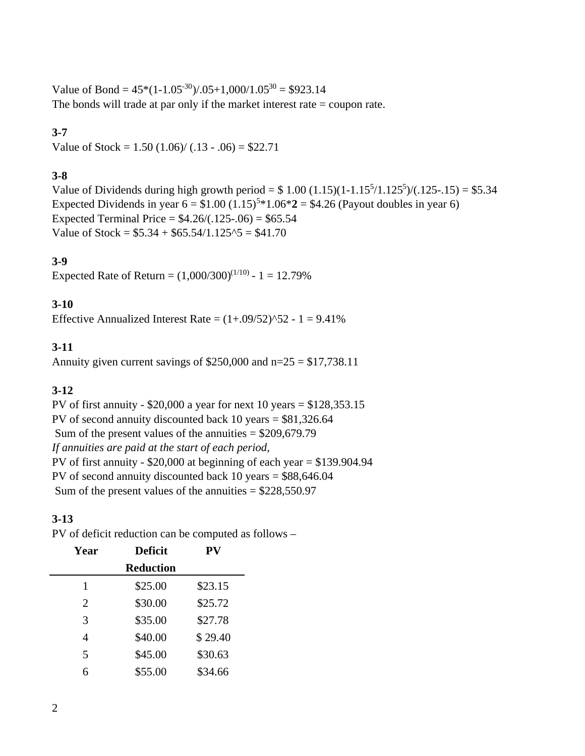Value of Bond =  $45*(1-1.05^{-30})$ /.05+1,000/1.05<sup>30</sup> = \$923.14 The bonds will trade at par only if the market interest rate = coupon rate.

## **3-7**

Value of Stock =  $1.50$  (1.06)/ (.13 - .06) = \$22.71

### **3-8**

Value of Dividends during high growth period =  $$1.00 (1.15)(1-1.15<sup>5</sup>/1.125<sup>5</sup>)/(0.125-1.15) = $5.34$ Expected Dividends in year  $6 = $1.00 (1.15)^{5*}1.06*2 = $4.26$  (Payout doubles in year 6) Expected Terminal Price =  $$4.26/(.125-.06) = $65.54$ Value of Stock =  $$5.34 + $65.54/1.125\textdegree$ = $41.70$ 

### **3-9**

Expected Rate of Return =  $(1,000/300)^{(1/10)}$  - 1 = 12.79%

### **3-10**

Effective Annualized Interest Rate =  $(1+.09/52)^{52} - 1 = 9.41\%$ 

### **3-11**

Annuity given current savings of  $$250,000$  and  $n=25 = $17,738.11$ 

#### **3-12**

PV of first annuity -  $$20,000$  a year for next 10 years =  $$128,353.15$ PV of second annuity discounted back 10 years = \$81,326.64 Sum of the present values of the annuities  $=$  \$209,679.79 *If annuities are paid at the start of each period,* PV of first annuity -  $$20,000$  at beginning of each year =  $$139.904.94$ PV of second annuity discounted back 10 years = \$88,646.04 Sum of the present values of the annuities  $=$  \$228,550.97

#### **3-13**

PV of deficit reduction can be computed as follows –

| Year | <b>Deficit</b>   | ${\bf PV}$ |
|------|------------------|------------|
|      | <b>Reduction</b> |            |
| 1    | \$25.00          | \$23.15    |
| 2    | \$30.00          | \$25.72    |
| 3    | \$35.00          | \$27.78    |
| 4    | \$40.00          | \$29.40    |
| 5    | \$45.00          | \$30.63    |
| 6    | \$55.00          | \$34.66    |
|      |                  |            |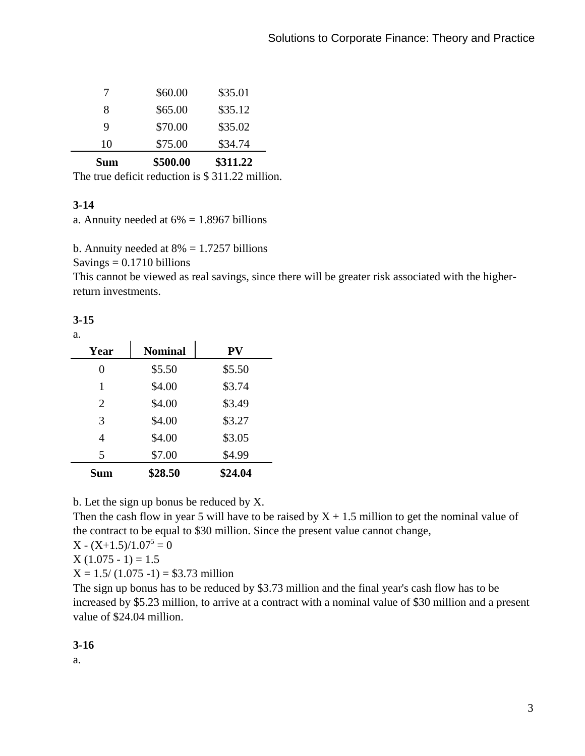| <b>Sum</b> | \$500.00 | \$311.22 |
|------------|----------|----------|
| 10         | \$75.00  | \$34.74  |
| Q          | \$70.00  | \$35.02  |
| 8          | \$65.00  | \$35.12  |
|            | \$60.00  | \$35.01  |

The true deficit reduction is \$ 311.22 million.

## **3-14**

a. Annuity needed at  $6\% = 1.8967$  billions

b. Annuity needed at  $8\% = 1.7257$  billions

 $Savings = 0.1710 billions$ 

This cannot be viewed as real savings, since there will be greater risk associated with the higherreturn investments.

### **3-15**

| Year           | <b>Nominal</b> | <b>PV</b> |
|----------------|----------------|-----------|
| 0              | \$5.50         | \$5.50    |
| 1              | \$4.00         | \$3.74    |
| $\overline{2}$ | \$4.00         | \$3.49    |
| 3              | \$4.00         | \$3.27    |
| 4              | \$4.00         | \$3.05    |
| 5              | \$7.00         | \$4.99    |
| <b>Sum</b>     | \$28.50        | \$24.04   |

b. Let the sign up bonus be reduced by X.

Then the cash flow in year 5 will have to be raised by  $X + 1.5$  million to get the nominal value of the contract to be equal to \$30 million. Since the present value cannot change,

 $X - (X+1.5)/1.07^5 = 0$ 

 $X(1.075 - 1) = 1.5$ 

 $X = 1.5/(1.075 - 1) = $3.73$  million

The sign up bonus has to be reduced by \$3.73 million and the final year's cash flow has to be increased by \$5.23 million, to arrive at a contract with a nominal value of \$30 million and a present value of \$24.04 million.

**3-16**

a.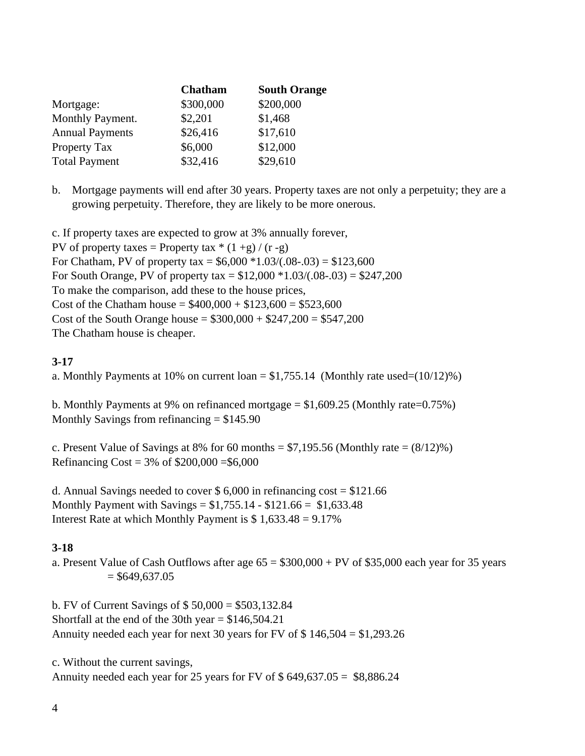| Chatham   | <b>South Orange</b> |
|-----------|---------------------|
| \$300,000 | \$200,000           |
| \$2,201   | \$1,468             |
| \$26,416  | \$17,610            |
| \$6,000   | \$12,000            |
| \$32,416  | \$29,610            |
|           |                     |

b. Mortgage payments will end after 30 years. Property taxes are not only a perpetuity; they are a growing perpetuity. Therefore, they are likely to be more onerous.

c. If property taxes are expected to grow at 3% annually forever, PV of property taxes = Property tax  $*(1 + g)/(r - g)$ For Chatham, PV of property tax =  $$6,000 *1.03/(.08-.03) = $123,600$ For South Orange, PV of property tax =  $$12,000 *1.03/(0.08-.03) = $247,200$ To make the comparison, add these to the house prices, Cost of the Chatham house =  $$400,000 + $123,600 = $523,600$ Cost of the South Orange house =  $$300,000 + $247,200 = $547,200$ The Chatham house is cheaper.

## **3-17**

a. Monthly Payments at 10% on current  $\text{loan} = $1,755.14$  (Monthly rate used=(10/12)%)

b. Monthly Payments at 9% on refinanced mortgage  $= $1,609.25$  (Monthly rate=0.75%) Monthly Savings from refinancing  $= $145.90$ 

c. Present Value of Savings at 8% for 60 months =  $$7,195.56$  (Monthly rate =  $(8/12)%$ ) Refinancing Cost =  $3\%$  of \$200,000 = \$6,000

d. Annual Savings needed to cover  $$6,000$  in refinancing cost =  $$121.66$ Monthly Payment with Savings =  $$1,755.14 - $121.66 = $1,633.48$ Interest Rate at which Monthly Payment is  $$1,633.48 = 9.17\%$ 

# **3-18**

a. Present Value of Cash Outflows after age  $65 = $300,000 + PV$  of \$35,000 each year for 35 years  $= $649,637.05$ 

b. FV of Current Savings of \$ 50,000 = \$503,132.84 Shortfall at the end of the 30th year  $=$  \$146,504.21 Annuity needed each year for next 30 years for FV of \$ 146,504 = \$1,293.26

c. Without the current savings, Annuity needed each year for 25 years for FV of  $$649,637.05 = $8,886.24$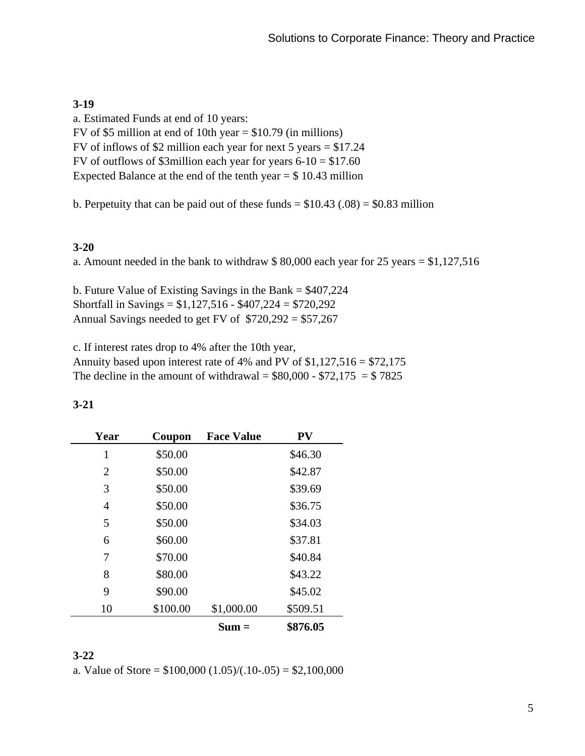## **3-19**

a. Estimated Funds at end of 10 years: FV of \$5 million at end of 10th year  $=$  \$10.79 (in millions) FV of inflows of \$2 million each year for next 5 years = \$17.24 FV of outflows of \$3million each year for years  $6-10 = $17.60$ Expected Balance at the end of the tenth year  $= $10.43$  million

b. Perpetuity that can be paid out of these funds  $= $10.43$  (.08)  $= $0.83$  million

## **3-20**

a. Amount needed in the bank to withdraw \$ 80,000 each year for 25 years = \$1,127,516

b. Future Value of Existing Savings in the Bank = \$407,224 Shortfall in Savings =  $$1,127,516 - $407,224 = $720,292$ Annual Savings needed to get FV of  $$720,292 = $57,267$ 

c. If interest rates drop to 4% after the 10th year, Annuity based upon interest rate of 4% and PV of \$1,127,516 = \$72,175 The decline in the amount of withdrawal =  $$80,000 - $72,175 = $ 7825$ 

| Year | Coupon   | <b>Face Value</b> | PV       |
|------|----------|-------------------|----------|
| 1    | \$50.00  |                   | \$46.30  |
| 2    | \$50.00  |                   | \$42.87  |
| 3    | \$50.00  |                   | \$39.69  |
| 4    | \$50.00  |                   | \$36.75  |
| 5    | \$50.00  |                   | \$34.03  |
| 6    | \$60.00  |                   | \$37.81  |
| 7    | \$70.00  |                   | \$40.84  |
| 8    | \$80.00  |                   | \$43.22  |
| 9    | \$90.00  |                   | \$45.02  |
| 10   | \$100.00 | \$1,000.00        | \$509.51 |
|      |          | $Sum =$           | \$876.05 |

| × |  |
|---|--|

#### **3-22**

a. Value of Store =  $$100,000 (1.05)/(.10-.05) = $2,100,000$